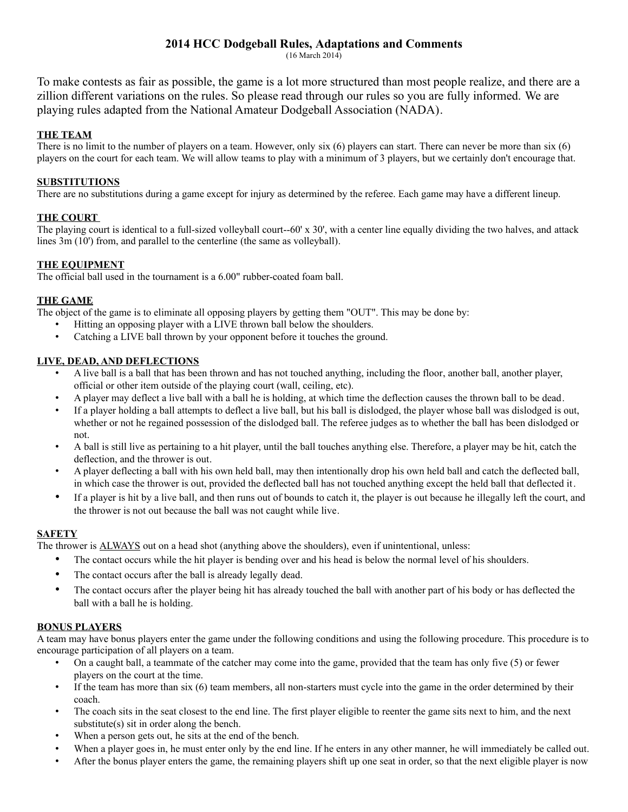# **2014 HCC Dodgeball Rules, Adaptations and Comments**

(16 March 2014)

To make contests as fair as possible, the game is a lot more structured than most people realize, and there are a zillion different variations on the rules. So please read through our rules so you are fully informed. We are playing rules adapted from the National Amateur Dodgeball Association (NADA).

### **THE TEAM**

There is no limit to the number of players on a team. However, only six (6) players can start. There can never be more than six (6) players on the court for each team. We will allow teams to play with a minimum of 3 players, but we certainly don't encourage that.

#### **SUBSTITUTIONS**

There are no substitutions during a game except for injury as determined by the referee. Each game may have a different lineup.

#### **THE COURT**

The playing court is identical to a full-sized volleyball court--60' x 30', with a center line equally dividing the two halves, and attack lines 3m (10') from, and parallel to the centerline (the same as volleyball).

### **THE EQUIPMENT**

The official ball used in the tournament is a 6.00" rubber-coated foam ball.

#### **THE GAME**

The object of the game is to eliminate all opposing players by getting them "OUT". This may be done by:

- Hitting an opposing player with a LIVE thrown ball below the shoulders.
- Catching a LIVE ball thrown by your opponent before it touches the ground.

# **LIVE, DEAD, AND DEFLECTIONS**

- A live ball is a ball that has been thrown and has not touched anything, including the floor, another ball, another player, official or other item outside of the playing court (wall, ceiling, etc).
- A player may deflect a live ball with a ball he is holding, at which time the deflection causes the thrown ball to be dead.
- If a player holding a ball attempts to deflect a live ball, but his ball is dislodged, the player whose ball was dislodged is out, whether or not he regained possession of the dislodged ball. The referee judges as to whether the ball has been dislodged or not.
- A ball is still live as pertaining to a hit player, until the ball touches anything else. Therefore, a player may be hit, catch the deflection, and the thrower is out.
- A player deflecting a ball with his own held ball, may then intentionally drop his own held ball and catch the deflected ball, in which case the thrower is out, provided the deflected ball has not touched anything except the held ball that deflected it.
- If a player is hit by a live ball, and then runs out of bounds to catch it, the player is out because he illegally left the court, and the thrower is not out because the ball was not caught while live.

#### **SAFETY**

The thrower is **ALWAYS** out on a head shot (anything above the shoulders), even if unintentional, unless:

- The contact occurs while the hit player is bending over and his head is below the normal level of his shoulders.
- The contact occurs after the ball is already legally dead.
- The contact occurs after the player being hit has already touched the ball with another part of his body or has deflected the ball with a ball he is holding.

### **BONUS PLAYERS**

A team may have bonus players enter the game under the following conditions and using the following procedure. This procedure is to encourage participation of all players on a team.

- On a caught ball, a teammate of the catcher may come into the game, provided that the team has only five (5) or fewer players on the court at the time.
- If the team has more than six (6) team members, all non-starters must cycle into the game in the order determined by their coach.
- The coach sits in the seat closest to the end line. The first player eligible to reenter the game sits next to him, and the next substitute(s) sit in order along the bench.
- When a person gets out, he sits at the end of the bench.
- When a player goes in, he must enter only by the end line. If he enters in any other manner, he will immediately be called out.
- After the bonus player enters the game, the remaining players shift up one seat in order, so that the next eligible player is now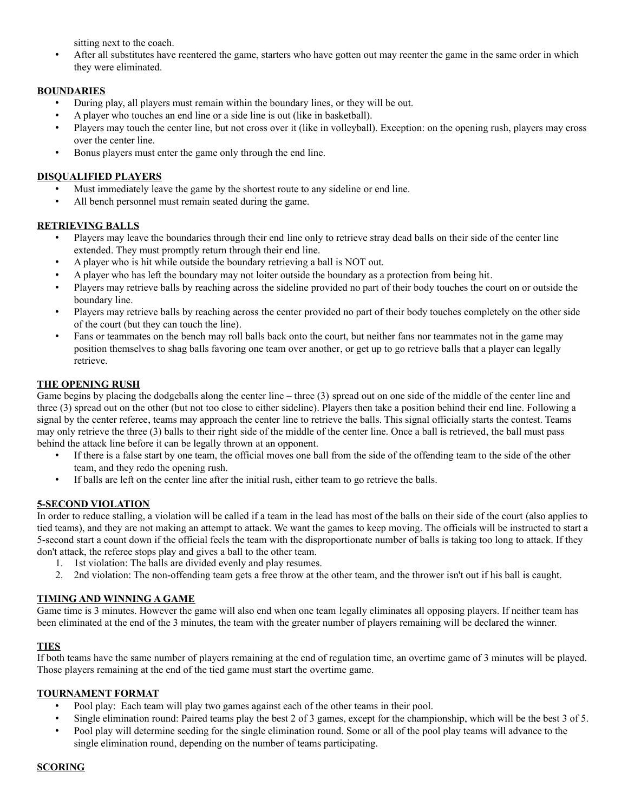sitting next to the coach.

After all substitutes have reentered the game, starters who have gotten out may reenter the game in the same order in which they were eliminated.

### **BOUNDARIES**

- During play, all players must remain within the boundary lines, or they will be out.
- A player who touches an end line or a side line is out (like in basketball).
- Players may touch the center line, but not cross over it (like in volleyball). Exception: on the opening rush, players may cross over the center line.
- Bonus players must enter the game only through the end line.

# **DISQUALIFIED PLAYERS**

- Must immediately leave the game by the shortest route to any sideline or end line.
- All bench personnel must remain seated during the game.

# **RETRIEVING BALLS**

- Players may leave the boundaries through their end line only to retrieve stray dead balls on their side of the center line extended. They must promptly return through their end line.
- A player who is hit while outside the boundary retrieving a ball is NOT out.
- A player who has left the boundary may not loiter outside the boundary as a protection from being hit.
- Players may retrieve balls by reaching across the sideline provided no part of their body touches the court on or outside the boundary line.
- Players may retrieve balls by reaching across the center provided no part of their body touches completely on the other side of the court (but they can touch the line).
- Fans or teammates on the bench may roll balls back onto the court, but neither fans nor teammates not in the game may position themselves to shag balls favoring one team over another, or get up to go retrieve balls that a player can legally retrieve.

# **THE OPENING RUSH**

Game begins by placing the dodgeballs along the center line – three (3) spread out on one side of the middle of the center line and three (3) spread out on the other (but not too close to either sideline). Players then take a position behind their end line. Following a signal by the center referee, teams may approach the center line to retrieve the balls. This signal officially starts the contest. Teams may only retrieve the three (3) balls to their right side of the middle of the center line. Once a ball is retrieved, the ball must pass behind the attack line before it can be legally thrown at an opponent.

- If there is a false start by one team, the official moves one ball from the side of the offending team to the side of the other team, and they redo the opening rush.
- If balls are left on the center line after the initial rush, either team to go retrieve the balls.

### **5-SECOND VIOLATION**

In order to reduce stalling, a violation will be called if a team in the lead has most of the balls on their side of the court (also applies to tied teams), and they are not making an attempt to attack. We want the games to keep moving. The officials will be instructed to start a 5-second start a count down if the official feels the team with the disproportionate number of balls is taking too long to attack. If they don't attack, the referee stops play and gives a ball to the other team.

- 1. 1st violation: The balls are divided evenly and play resumes.
- 2. 2nd violation: The non-offending team gets a free throw at the other team, and the thrower isn't out if his ball is caught.

# **TIMING AND WINNING A GAME**

Game time is 3 minutes. However the game will also end when one team legally eliminates all opposing players. If neither team has been eliminated at the end of the 3 minutes, the team with the greater number of players remaining will be declared the winner.

# **TIES**

If both teams have the same number of players remaining at the end of regulation time, an overtime game of 3 minutes will be played. Those players remaining at the end of the tied game must start the overtime game.

### **TOURNAMENT FORMAT**

- Pool play: Each team will play two games against each of the other teams in their pool.
- Single elimination round: Paired teams play the best 2 of 3 games, except for the championship, which will be the best 3 of 5.
- Pool play will determine seeding for the single elimination round. Some or all of the pool play teams will advance to the single elimination round, depending on the number of teams participating.

### **SCORING**